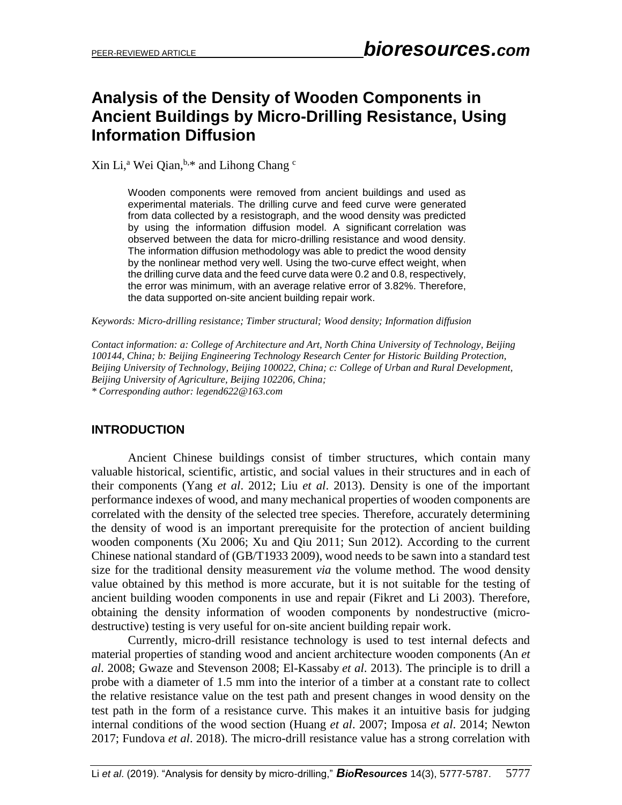# **Analysis of the Density of Wooden Components in Ancient Buildings by Micro-Drilling Resistance, Using Information Diffusion**

Xin Li,<sup>a</sup> Wei Qian, $b.*$  and Lihong Chang  $c$ 

Wooden components were removed from ancient buildings and used as experimental materials. The drilling curve and feed curve were generated from data collected by a resistograph, and the wood density was predicted by using the information diffusion model. A significant correlation was observed between the data for micro-drilling resistance and wood density. The information diffusion methodology was able to predict the wood density by the nonlinear method very well. Using the two-curve effect weight, when the drilling curve data and the feed curve data were 0.2 and 0.8, respectively, the error was minimum, with an average relative error of 3.82%. Therefore, the data supported on-site ancient building repair work.

*Keywords: Micro-drilling resistance; Timber structural; Wood density; Information diffusion*

*Contact information: a: College of Architecture and Art, North China University of Technology, Beijing 100144, China; b: Beijing Engineering Technology Research Center for Historic Building Protection, Beijing University of Technology, Beijing 100022, China; c: College of Urban and Rural Development, Beijing University of Agriculture, Beijing 102206, China;* 

*\* Corresponding author: [legend622@163.co](mailto:liujb3@ncsu.edu)m*

#### **INTRODUCTION**

Ancient Chinese buildings consist of timber structures, which contain many valuable historical, scientific, artistic, and social values in their structures and in each of their components (Yang *et al*. 2012; Liu *et al*. 2013). Density is one of the important performance indexes of wood, and many mechanical properties of wooden components are correlated with the density of the selected tree species. Therefore, accurately determining the density of wood is an important prerequisite for the protection of ancient building wooden components (Xu 2006; Xu and Qiu 2011; Sun 2012). According to the current Chinese national standard of (GB/T1933 2009), wood needs to be sawn into a standard test size for the traditional density measurement *via* the volume method. The wood density value obtained by this method is more accurate, but it is not suitable for the testing of ancient building wooden components in use and repair (Fikret and Li 2003). Therefore, obtaining the density information of wooden components by nondestructive (microdestructive) testing is very useful for on-site ancient building repair work.

Currently, micro-drill resistance technology is used to test internal defects and material properties of standing wood and ancient architecture wooden components (An *et al*. 2008; Gwaze and Stevenson 2008; El-Kassaby *et al*. 2013). The principle is to drill a probe with a diameter of 1.5 mm into the interior of a timber at a constant rate to collect the relative resistance value on the test path and present changes in wood density on the test path in the form of a resistance curve. This makes it an intuitive basis for judging internal conditions of the wood section (Huang *et al*. 2007; Imposa *et al*. 2014; Newton 2017; Fundova *et al*. 2018). The micro-drill resistance value has a strong correlation with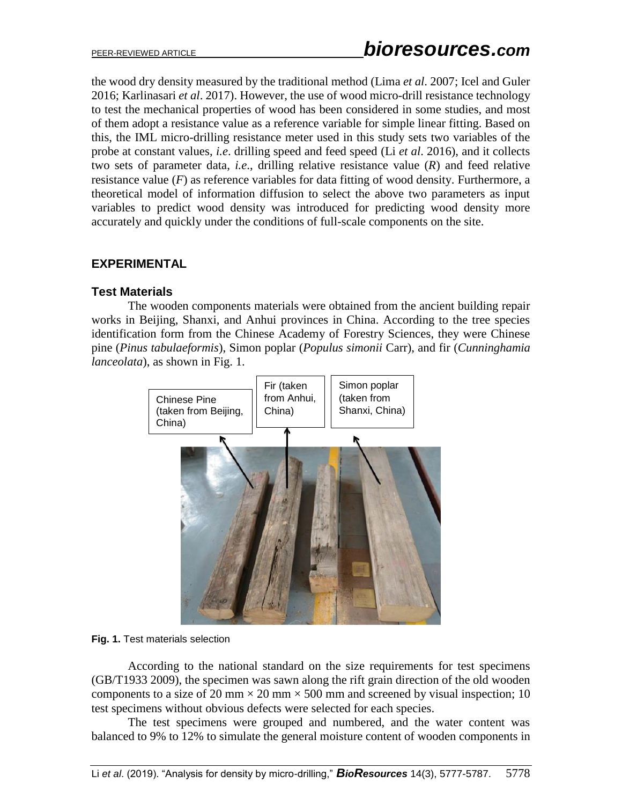the wood dry density measured by the traditional method (Lima *et al*. 2007; Icel and Guler 2016; Karlinasari *et al*. 2017). However, the use of wood micro-drill resistance technology to test the mechanical properties of wood has been considered in some studies, and most of them adopt a resistance value as a reference variable for simple linear fitting. Based on this, the IML micro-drilling resistance meter used in this study sets two variables of the probe at constant values, *i.e*. drilling speed and feed speed (Li *et al*. 2016), and it collects two sets of parameter data, *i.e*., drilling relative resistance value (*R*) and feed relative resistance value  $(F)$  as reference variables for data fitting of wood density. Furthermore, a theoretical model of information diffusion to select the above two parameters as input variables to predict wood density was introduced for predicting wood density more accurately and quickly under the conditions of full-scale components on the site.

# **EXPERIMENTAL**

### **Test Materials**

The wooden components materials were obtained from the ancient building repair works in Beijing, Shanxi, and Anhui provinces in China. According to the tree species identification form from the Chinese Academy of Forestry Sciences, they were Chinese pine (*Pinus tabulaeformis*), Simon poplar (*Populus simonii* Carr), and fir (*Cunninghamia lanceolata*), as shown in Fig. 1.



#### **Fig. 1.** Test materials selection

According to the national standard on the size requirements for test specimens (GB/T1933 2009), the specimen was sawn along the rift grain direction of the old wooden components to a size of 20 mm  $\times$  20 mm  $\times$  500 mm and screened by visual inspection; 10 test specimens without obvious defects were selected for each species.

The test specimens were grouped and numbered, and the water content was balanced to 9% to 12% to simulate the general moisture content of wooden components in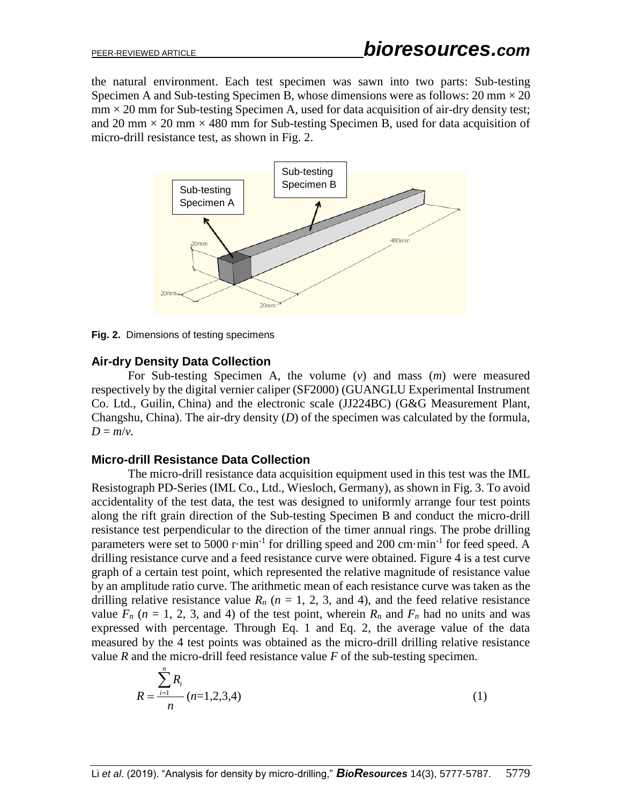the natural environment. Each test specimen was sawn into two parts: Sub-testing Specimen A and Sub-testing Specimen B, whose dimensions were as follows:  $20 \text{ mm} \times 20$  $mm \times 20$  mm for Sub-testing Specimen A, used for data acquisition of air-dry density test; and 20 mm  $\times$  20 mm  $\times$  480 mm for Sub-testing Specimen B, used for data acquisition of micro-drill resistance test, as shown in Fig. 2.



**Fig. 2.** Dimensions of testing specimens

#### **Air-dry Density Data Collection**

For Sub-testing Specimen A, the volume (*v*) and mass (*m*) were measured respectively by the digital vernier caliper (SF2000) (GUANGLU Experimental Instrument Co. Ltd., Guilin, China) and the [electronic scale](file:///C:/Program%20Files%20(x86)/Youdao/Dict/8.5.2.0/resultui/html/index.html#/javascript:;) (JJ224BC) (G&G Measurement Plant, Changshu, China). The air-dry density (*D*) of the specimen was calculated by the formula,  $D = m/v$ .

#### **Micro-drill Resistance Data Collection**

The micro-drill resistance data acquisition equipment used in this test was the IML Resistograph PD-Series (IML Co., Ltd., Wiesloch, Germany), as shown in Fig. 3. To avoid accidentality of the test data, the test was designed to uniformly arrange four test points along the rift grain direction of the Sub-testing Specimen B and conduct the micro-drill resistance test perpendicular to the direction of the timer annual rings. The probe drilling parameters were set to 5000 r $\cdot$ min<sup>-1</sup> for drilling speed and 200 cm $\cdot$ min<sup>-1</sup> for feed speed. A drilling resistance curve and a feed resistance curve were obtained. Figure 4 is a test curve graph of a certain test point, which represented the relative magnitude of resistance value by an amplitude ratio curve. The arithmetic mean of each resistance curve was taken as the drilling relative resistance value  $R_n$  ( $n = 1, 2, 3$ , and 4), and the feed relative resistance value  $F_n$  ( $n = 1, 2, 3$ , and 4) of the test point, wherein  $R_n$  and  $F_n$  had no units and was expressed with percentage. Through Eq. 1 and Eq. 2, the average value of the data measured by the 4 test points was obtained as the micro-drill drilling relative resistance value *R* and the micro-drill feed resistance value *F* of the sub-testing specimen.

$$
R = \frac{\sum_{i=1}^{n} R_i}{n} (n=1,2,3,4)
$$
 (1)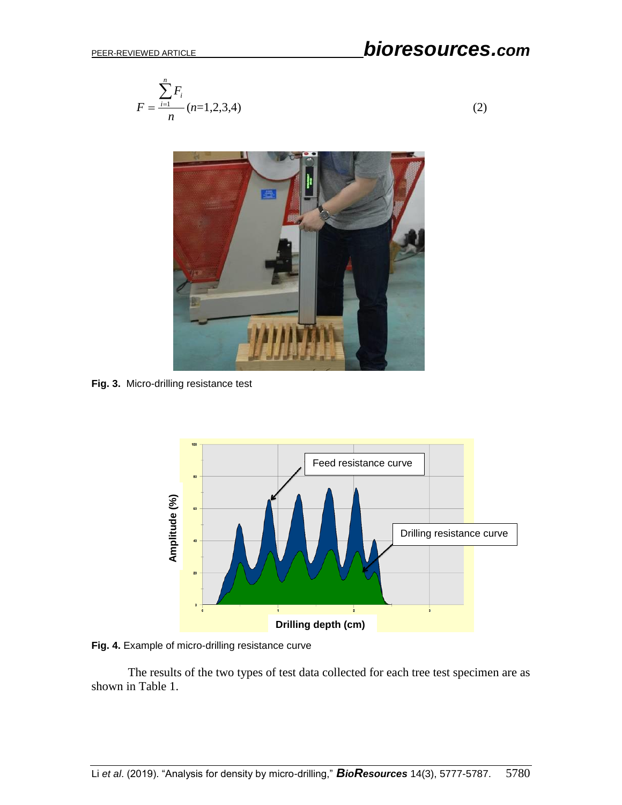# PEER-REVIEWED ARTICLE *bioresources.com*

$$
F = \frac{\sum_{i=1}^{n} F_i}{n} (n=1,2,3,4)
$$
 (2)



**Fig. 3.** Micro-drilling resistance test



**Fig. 4.** Example of micro-drilling resistance curve

The results of the two types of test data collected for each tree test specimen are as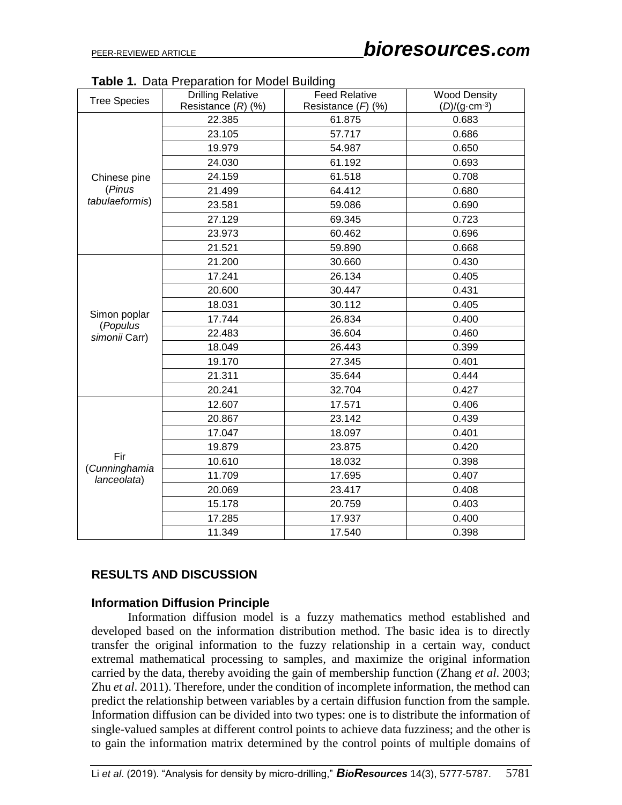| <b>Tree Species</b>      | abit is bata reparation for moder ballang<br><b>Drilling Relative</b><br>Resistance $(R)$ $(\%)$ | <b>Feed Relative</b><br>Resistance $(F)$ (%) | <b>Wood Density</b><br>$(D)/(q \cdot cm^{-3})$ |
|--------------------------|--------------------------------------------------------------------------------------------------|----------------------------------------------|------------------------------------------------|
|                          | 22.385                                                                                           | 61.875                                       | 0.683                                          |
|                          | 23.105                                                                                           | 57.717                                       | 0.686                                          |
|                          | 19.979                                                                                           | 54.987                                       | 0.650                                          |
|                          | 24.030                                                                                           | 61.192                                       | 0.693                                          |
| Chinese pine             | 24.159                                                                                           | 61.518                                       | 0.708                                          |
| (Pinus                   | 21.499                                                                                           | 64.412                                       | 0.680                                          |
| tabulaeformis)           | 23.581                                                                                           | 59.086                                       | 0.690                                          |
|                          | 27.129                                                                                           | 69.345                                       | 0.723                                          |
|                          | 23.973                                                                                           | 60.462                                       | 0.696                                          |
|                          | 21.521                                                                                           | 59.890                                       | 0.668                                          |
|                          | 21.200                                                                                           | 30.660                                       | 0.430                                          |
|                          | 17.241                                                                                           | 26.134                                       | 0.405                                          |
|                          | 20.600                                                                                           | 30.447                                       | 0.431                                          |
|                          | 18.031                                                                                           | 30.112                                       | 0.405                                          |
| Simon poplar<br>(Populus | 17.744                                                                                           | 26.834                                       | 0.400                                          |
| simonii Carr)            | 22.483                                                                                           | 36.604                                       | 0.460                                          |
|                          | 18.049                                                                                           | 26.443                                       | 0.399                                          |
|                          | 19.170                                                                                           | 27.345                                       | 0.401                                          |
|                          | 21.311                                                                                           | 35.644                                       | 0.444                                          |
|                          | 20.241                                                                                           | 32.704                                       | 0.427                                          |
|                          | 12.607                                                                                           | 17.571                                       | 0.406                                          |
|                          | 20.867                                                                                           | 23.142                                       | 0.439                                          |
|                          | 17.047                                                                                           | 18.097                                       | 0.401                                          |
|                          | 19.879                                                                                           | 23.875                                       | 0.420                                          |
| Fir<br>(Cunninghamia     | 10.610                                                                                           | 18.032                                       | 0.398                                          |
| lanceolata)              | 11.709                                                                                           | 17.695                                       | 0.407                                          |
|                          | 20.069                                                                                           | 23.417                                       | 0.408                                          |
|                          | 15.178                                                                                           | 20.759                                       | 0.403                                          |
|                          | 17.285                                                                                           | 17.937                                       | 0.400                                          |
|                          | 11.349                                                                                           | 17.540                                       | 0.398                                          |

**Table 1.** Data Preparation for Model Building

#### **RESULTS AND DISCUSSION**

#### **Information Diffusion Principle**

Information diffusion model is a fuzzy mathematics method established and developed based on the information distribution method. The basic idea is to directly transfer the original information to the fuzzy relationship in a certain way, conduct extremal mathematical processing to samples, and maximize the original information carried by the data, thereby avoiding the gain of membership function (Zhang *et al*. 2003; Zhu *et al*. 2011). Therefore, under the condition of incomplete information, the method can predict the relationship between variables by a certain diffusion function from the sample. Information diffusion can be divided into two types: one is to distribute the information of single-valued samples at different control points to achieve data fuzziness; and the other is to gain the information matrix determined by the control points of multiple domains of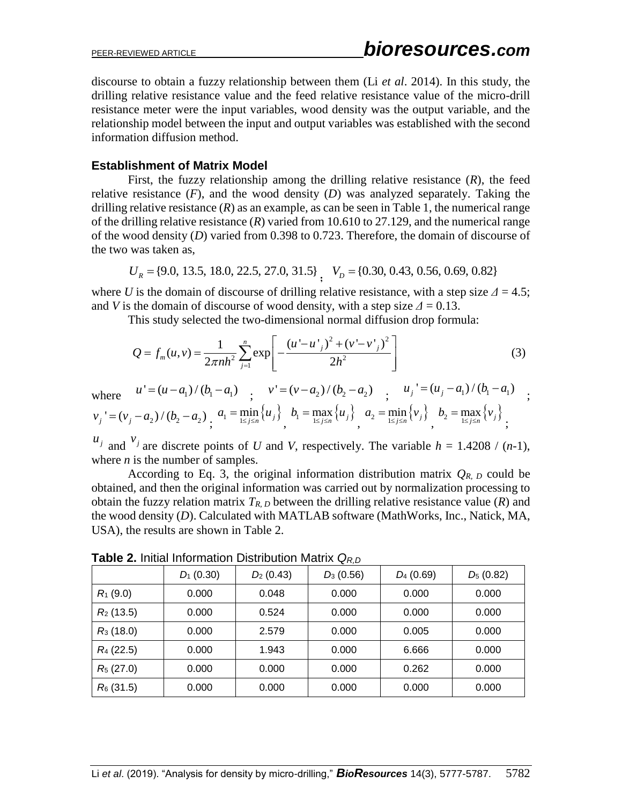discourse to obtain a fuzzy relationship between them (Li *et al*. 2014). In this study, the drilling relative resistance value and the feed relative resistance value of the micro-drill resistance meter were the input variables, wood density was the output variable, and the relationship model between the input and output variables was established with the second information diffusion method.

#### **Establishment of Matrix Model**

First, the fuzzy relationship among the drilling relative resistance (*R*), the feed relative resistance (*F*), and the wood density (*D*) was analyzed separately. Taking the drilling relative resistance  $(R)$  as an example, as can be seen in Table 1, the numerical range of the drilling relative resistance (*R*) varied from 10.610 to 27.129, and the numerical range of the wood density (*D*) varied from 0.398 to 0.723. Therefore, the domain of discourse of the two was taken as,

$$
U_R = \{9.0, 13.5, 18.0, 22.5, 27.0, 31.5\}
$$
,  $V_D = \{0.30, 0.43, 0.56, 0.69, 0.82\}$ 

where *U* is the domain of discourse of drilling relative resistance, with a step size  $\Delta = 4.5$ ; and *V* is the domain of discourse of wood density, with a step size  $\Delta = 0.13$ .

This study selected the two-dimensional normal diffusion drop formula:<br>  $\left[ (u' - u')^2 + (v' - v')^2 \right]$ 

This study selected the two-dimensional normal diffusion drop formula:  
\n
$$
Q = f_m(u, v) = \frac{1}{2\pi nh^2} \sum_{j=1}^{n} \exp\left[-\frac{(u' - u')^2 + (v' - v')^2}{2h^2}\right]
$$
\n(3)

where 
$$
u' = (u - a_1) / (b_1 - a_1)
$$
;  
\n $v' = (v - a_2) / (b_2 - a_2)$ ;  
\n $v_j' = (v_j - a_2) / (b_2 - a_2)$ ;  
\n $a_1 = \min_{1 \le j \le n} \{u_j\}$ ,  $b_1 = \max_{1 \le j \le n} \{u_j\}$ ;  
\n $a_2 = \min_{1 \le j \le n} \{v_j\}$ ;  
\n $b_2 = \max_{1 \le j \le n} \{v_j\}$ ;  
\n $b_3 = \max_{1 \le j \le n} \{v_j\}$ 

 $u_j$  and  $v_j$  are discrete points of *U* and *V*, respectively. The variable *h* = 1.4208 / (*n*-1), where *n* is the number of samples.

According to Eq. 3, the original information distribution matrix  $Q_{R, D}$  could be obtained, and then the original information was carried out by normalization processing to obtain the fuzzy relation matrix  $T_{R,D}$  between the drilling relative resistance value  $(R)$  and the wood density (*D*). Calculated with MATLAB software (MathWorks, Inc., Natick, MA, USA), the results are shown in Table 2.

|              | $D_1$ (0.30) | $D_2$ (0.43) | $D_3(0.56)$ | $D_4$ (0.69) | $D_5(0.82)$ |
|--------------|--------------|--------------|-------------|--------------|-------------|
| $R_1$ (9.0)  | 0.000        | 0.048        | 0.000       | 0.000        | 0.000       |
| $R_2$ (13.5) | 0.000        | 0.524        | 0.000       | 0.000        | 0.000       |
| $R_3$ (18.0) | 0.000        | 2.579        | 0.000       | 0.005        | 0.000       |
| $R_4$ (22.5) | 0.000        | 1.943        | 0.000       | 6.666        | 0.000       |
| $R_5$ (27.0) | 0.000        | 0.000        | 0.000       | 0.262        | 0.000       |
| $R_6$ (31.5) | 0.000        | 0.000        | 0.000       | 0.000        | 0.000       |

**Table 2.** Initial Information Distribution Matrix *QR,D*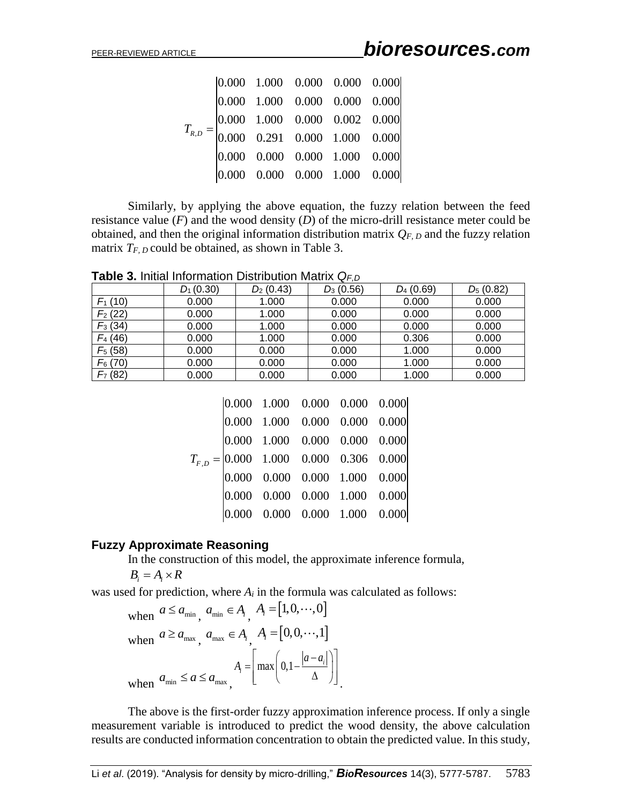|  | $\begin{array}{ l} 0.000 & 1.000 & 0.000 & 0.000 & 0.000 \\ 0.000 & 1.000 & 0.000 & 0.000 & 0.000 \end{array}$           |  |
|--|--------------------------------------------------------------------------------------------------------------------------|--|
|  | $T_{R,D} = \begin{vmatrix} 0.000 & 1.000 & 0.000 & 0.002 & 0.000 \\ 0.000 & 0.291 & 0.000 & 1.000 & 0.000 \end{vmatrix}$ |  |
|  |                                                                                                                          |  |
|  | $\begin{array}{cccc} 0.000 & 0.000 & 0.000 & 1.000 & 0.000 \end{array}$                                                  |  |
|  |                                                                                                                          |  |

**Table 3.** Initial Information Distribution Matrix *QF,D*

|                                                                                                   | R, D                                                                                                            | 0.000 | 0.291                                         | $0.000$ 1.000       |             | 0.000 |              |                                                                                      |      |
|---------------------------------------------------------------------------------------------------|-----------------------------------------------------------------------------------------------------------------|-------|-----------------------------------------------|---------------------|-------------|-------|--------------|--------------------------------------------------------------------------------------|------|
|                                                                                                   |                                                                                                                 | 0.000 | 0.000                                         | $0.000 \quad 1.000$ |             | 0.000 |              |                                                                                      |      |
|                                                                                                   |                                                                                                                 |       | $[0.000 \quad 0.000 \quad 0.000 \quad 1.000]$ |                     |             | 0.000 |              |                                                                                      |      |
|                                                                                                   |                                                                                                                 |       |                                               |                     |             |       |              |                                                                                      |      |
|                                                                                                   |                                                                                                                 |       |                                               |                     |             |       |              | Similarly, by applying the above equation, the fuzzy relation between the feed       |      |
| resistance value $(F)$ and the wood density $(D)$ of the micro-drill resistance meter could be    |                                                                                                                 |       |                                               |                     |             |       |              |                                                                                      |      |
| obtained, and then the original information distribution matrix $Q_{F, D}$ and the fuzzy relation |                                                                                                                 |       |                                               |                     |             |       |              |                                                                                      |      |
| matrix $T_{F, D}$ could be obtained, as shown in Table 3.                                         |                                                                                                                 |       |                                               |                     |             |       |              |                                                                                      |      |
|                                                                                                   |                                                                                                                 |       |                                               |                     |             |       |              |                                                                                      |      |
| <b>Table 3.</b> Initial Information Distribution Matrix $Q_{F,D}$                                 |                                                                                                                 |       |                                               |                     |             |       |              |                                                                                      |      |
|                                                                                                   | $D_1(0.30)$                                                                                                     |       | $D_2$ (0.43)                                  |                     | $D_3(0.56)$ |       | $D_4$ (0.69) | $D_5(0.82)$                                                                          |      |
| $F_1(10)$                                                                                         | 0.000                                                                                                           |       | 1.000                                         |                     | 0.000       |       | 0.000        | 0.000                                                                                |      |
| $F_2(22)$                                                                                         | 0.000                                                                                                           |       | 1.000                                         |                     | 0.000       |       | 0.000        | 0.000                                                                                |      |
| $F_3(34)$                                                                                         | 0.000                                                                                                           |       | 1.000                                         |                     | 0.000       |       | 0.000        | 0.000                                                                                |      |
| $F_4(46)$                                                                                         | 0.000                                                                                                           |       | 1.000                                         |                     | 0.000       |       | 0.306        | 0.000                                                                                |      |
| $F_5(58)$                                                                                         | 0.000                                                                                                           |       | 0.000                                         |                     | 0.000       |       | 1.000        | 0.000                                                                                |      |
| $F_6(70)$                                                                                         | 0.000                                                                                                           |       | 0.000                                         |                     | 0.000       |       | 1.000        | 0.000                                                                                |      |
| $F7$ (82)                                                                                         | 0.000                                                                                                           |       | 0.000                                         |                     | 0.000       |       | 1.000        | 0.000                                                                                |      |
|                                                                                                   |                                                                                                                 |       |                                               |                     |             |       |              |                                                                                      |      |
|                                                                                                   |                                                                                                                 | 0.000 | 1.000                                         | 0.000               | 0.000       | 0.000 |              |                                                                                      |      |
|                                                                                                   |                                                                                                                 | 0.000 | 1.000                                         | 0.000               | 0.000       | 0.000 |              |                                                                                      |      |
|                                                                                                   |                                                                                                                 | 0.000 | 1.000                                         | 0.000               | 0.000       | 0.000 |              |                                                                                      |      |
|                                                                                                   |                                                                                                                 |       | $T_{F,D} =  0.000 \quad 1.000$                | 0.000               | 0.306       | 0.000 |              |                                                                                      |      |
|                                                                                                   |                                                                                                                 |       | $ 0.000 \quad 0.000$                          | 0.000               | 1.000       | 0.000 |              |                                                                                      |      |
|                                                                                                   |                                                                                                                 | 0.000 | 0.000                                         | 0.000               | 1.000       | 0.000 |              |                                                                                      |      |
|                                                                                                   |                                                                                                                 | 0.000 | 0.000                                         | 0.000               | 1.000       | 0.000 |              |                                                                                      |      |
|                                                                                                   |                                                                                                                 |       |                                               |                     |             |       |              |                                                                                      |      |
| <b>Fuzzy Approximate Reasoning</b>                                                                |                                                                                                                 |       |                                               |                     |             |       |              |                                                                                      |      |
|                                                                                                   | In the construction of this model, the approximate inference formula,                                           |       |                                               |                     |             |       |              |                                                                                      |      |
| $B_i = A_i \times R$                                                                              |                                                                                                                 |       |                                               |                     |             |       |              |                                                                                      |      |
| was used for prediction, where $A_i$ in the formula was calculated as follows:                    |                                                                                                                 |       |                                               |                     |             |       |              |                                                                                      |      |
|                                                                                                   | when $a \le a_{\min}$ , $a_{\min} \in A_i$ , $A_i = [1, 0, \cdots, 0]$                                          |       |                                               |                     |             |       |              |                                                                                      |      |
|                                                                                                   | when $a \ge a_{\text{max}}$ , $a_{\text{max}} \in A_i$ , $A_i = [0, 0, \dots, 1]$                               |       |                                               |                     |             |       |              |                                                                                      |      |
|                                                                                                   |                                                                                                                 |       |                                               |                     |             |       |              |                                                                                      |      |
|                                                                                                   |                                                                                                                 |       |                                               |                     |             |       |              |                                                                                      |      |
|                                                                                                   | when $a_{\min} \le a \le a_{\max}$ , $A_i = \left[ \max \left( 0, 1 - \frac{ a - a_i }{\Delta} \right) \right]$ |       |                                               |                     |             |       |              |                                                                                      |      |
|                                                                                                   |                                                                                                                 |       |                                               |                     |             |       |              | The above is the first-order fuzzy approximation inference process. If only a single |      |
| measurement variable is introduced to predict the wood density, the above calculation             |                                                                                                                 |       |                                               |                     |             |       |              |                                                                                      |      |
|                                                                                                   |                                                                                                                 |       |                                               |                     |             |       |              |                                                                                      |      |
| results are conducted information concentration to obtain the predicted value. In this study,     |                                                                                                                 |       |                                               |                     |             |       |              |                                                                                      |      |
|                                                                                                   |                                                                                                                 |       |                                               |                     |             |       |              |                                                                                      |      |
| Li et al. (2019). "Analysis for density by micro-drilling," BioResources 14(3), 5777-5787.        |                                                                                                                 |       |                                               |                     |             |       |              |                                                                                      | 5783 |

|  |  | $\begin{array}{cccc} 0.000 & 1.000 & 0.000 & 0.000 & 0.000 \end{array}$                    |  |
|--|--|--------------------------------------------------------------------------------------------|--|
|  |  | $\begin{vmatrix} 0.000 & 1.000 & 0.000 & 0.000 & 0.000 \end{vmatrix}$                      |  |
|  |  | $\begin{array}{ l c c c c c c c } \hline 0.000 & 1.000 & 0.000 & 0.000 \hline \end{array}$ |  |
|  |  | $T_{F,D} =  0.000 \t1.000 \t0.000 \t0.306 \t0.000 $                                        |  |
|  |  | $\begin{vmatrix} 0.000 & 0.000 & 0.000 & 1.000 & 0.000 \end{vmatrix}$                      |  |
|  |  | $\begin{array}{ l} 0.000 & 0.000 & 0.000 & 1.000 & 0.000 \end{array}$                      |  |
|  |  |                                                                                            |  |
|  |  |                                                                                            |  |

#### **Fuzzy Approximate Reasoning**

when 
$$
a \le a_{\min}
$$
,  $a_{\min} \in A_i$ ,  $A_i = [1, 0, \cdots, 0]$   
when  $a \ge a_{\max}$ ,  $a_{\max} \in A_i$ ,  $A_i = [0, 0, \cdots, 1]$   
when  $a_{\min} \le a \le a_{\max}$ ,  $A_i = \left[\max\left(0, 1 - \frac{|a - a_i|}{\Delta}\right)\right]$ .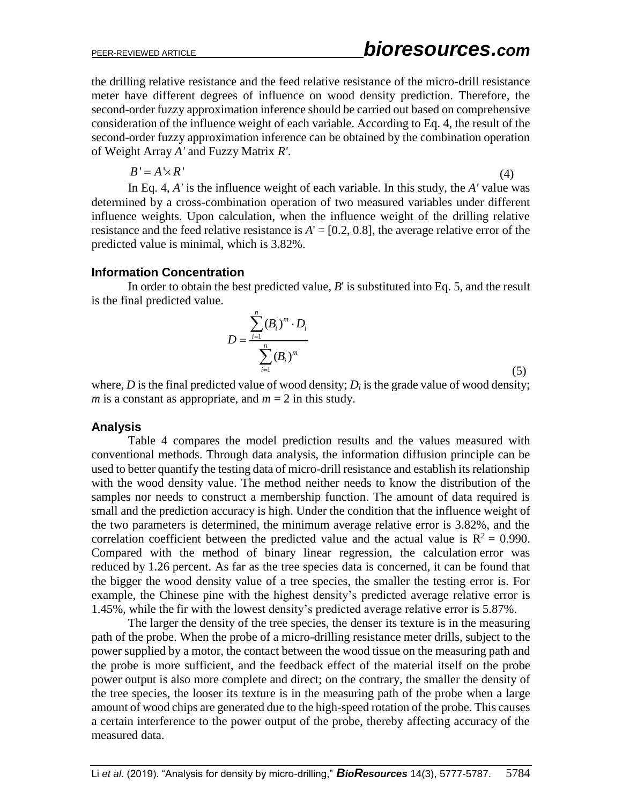the drilling relative resistance and the feed relative resistance of the micro-drill resistance meter have different degrees of influence on wood density prediction. Therefore, the second-order fuzzy approximation inference should be carried out based on comprehensive consideration of the influence weight of each variable. According to Eq. 4, the result of the second-order fuzzy approximation inference can be obtained by the combination operation of Weight Array *A'* and Fuzzy Matrix *R'*.

$$
B' = A' \times R'
$$
 (4)

In Eq. 4, *A'* is the influence weight of each variable. In this study, the *A'* value was determined by a cross-combination operation of two measured variables under different influence weights. Upon calculation, when the influence weight of the drilling relative resistance and the feed relative resistance is  $A' = [0.2, 0.8]$ , the average relative error of the predicted value is minimal, which is 3.82%.

#### **Information Concentration**

In order to obtain the best predicted value, *B*' is substituted into Eq. 5, and the result is the final predicted value.

$$
D = \frac{\sum_{i=1}^{n} (B_i^{'})^{m} \cdot D_i}{\sum_{i=1}^{n} (B_i^{'})^{m}}
$$
 (5)

where,  $D$  is the final predicted value of wood density;  $D_i$  is the grade value of wood density; *m* is a constant as appropriate, and  $m = 2$  in this study.

#### **Analysis**

Table 4 compares the model prediction results and the values measured with conventional methods. Through data analysis, the information diffusion principle can be used to better quantify the testing data of micro-drill resistance and establish its relationship with the wood density value. The method neither needs to know the distribution of the samples nor needs to construct a membership function. The amount of data required is small and the prediction accuracy is high. Under the condition that the influence weight of the two parameters is determined, the minimum average relative error is 3.82%, and the correlation coefficient between the predicted value and the actual value is  $R^2 = 0.990$ . Compared with the method of binary linear regression, the [calculation](javascript:;) [error](javascript:;) was reduced by 1.26 percent. As far as the tree species data is concerned, it can be found that the bigger the wood density value of a tree species, the smaller the testing error is. For example, the Chinese pine with the highest density's predicted average relative error is 1.45%, while the fir with the lowest density's predicted average relative error is 5.87%.

The larger the density of the tree species, the denser its texture is in the measuring path of the probe. When the probe of a micro-drilling resistance meter drills, subject to the power supplied by a motor, the contact between the wood tissue on the measuring path and the probe is more sufficient, and the feedback effect of the material itself on the probe power output is also more complete and direct; on the contrary, the smaller the density of the tree species, the looser its texture is in the measuring path of the probe when a large amount of wood chips are generated due to the high-speed rotation of the probe. This causes a certain interference to the power output of the probe, thereby affecting accuracy of the measured data.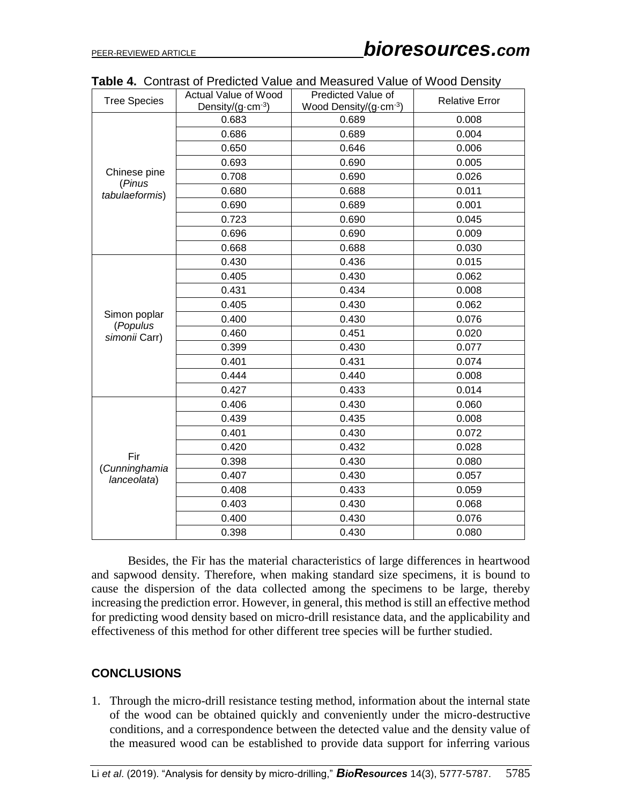| <b>Tree Species</b>          | <b>Actual Value of Wood</b>  | Predicted Value of    | <b>Relative Error</b> |
|------------------------------|------------------------------|-----------------------|-----------------------|
|                              | Density/ $(g \cdot cm^{-3})$ | Wood Density/(g-cm-3) |                       |
|                              | 0.683                        | 0.689                 | 0.008                 |
|                              | 0.686                        | 0.689                 | 0.004                 |
|                              | 0.650                        | 0.646                 | 0.006                 |
|                              | 0.693                        | 0.690                 | 0.005                 |
| Chinese pine<br>(Pinus       | 0.708                        | 0.690                 | 0.026                 |
| tabulaeformis)               | 0.680                        | 0.688                 | 0.011                 |
|                              | 0.690                        | 0.689                 | 0.001                 |
|                              | 0.723                        | 0.690                 | 0.045                 |
|                              | 0.696                        | 0.690                 | 0.009                 |
|                              | 0.668                        | 0.688                 | 0.030                 |
|                              | 0.430                        | 0.436                 | 0.015                 |
|                              | 0.405                        | 0.430                 | 0.062                 |
|                              | 0.431                        | 0.434                 | 0.008                 |
|                              | 0.405                        | 0.430                 | 0.062                 |
| Simon poplar                 | 0.400                        | 0.430                 | 0.076                 |
| (Populus<br>simonii Carr)    | 0.460                        | 0.451                 | 0.020                 |
|                              | 0.399                        | 0.430                 | 0.077                 |
|                              | 0.401                        | 0.431                 | 0.074                 |
|                              | 0.444                        | 0.440                 | 0.008                 |
|                              | 0.427                        | 0.433                 | 0.014                 |
|                              | 0.406                        | 0.430                 | 0.060                 |
|                              | 0.439                        | 0.435                 | 0.008                 |
|                              | 0.401                        | 0.430                 | 0.072                 |
|                              | 0.420                        | 0.432                 | 0.028                 |
| Fir                          | 0.398                        | 0.430                 | 0.080                 |
| (Cunninghamia<br>lanceolata) | 0.407                        | 0.430                 | 0.057                 |
|                              | 0.408                        | 0.433                 | 0.059                 |
|                              | 0.403                        | 0.430                 | 0.068                 |
|                              | 0.400                        | 0.430                 | 0.076                 |
|                              | 0.398                        | 0.430                 | 0.080                 |

| Table 4. Contrast of Predicted Value and Measured Value of Wood Density |
|-------------------------------------------------------------------------|
|-------------------------------------------------------------------------|

Besides, the Fir has the material characteristics of large differences in heartwood and sapwood density. Therefore, when making standard size specimens, it is bound to cause the dispersion of the data collected among the specimens to be large, thereby increasing the prediction error. However, in general, this method is still an effective method for predicting wood density based on micro-drill resistance data, and the applicability and effectiveness of this method for other different tree species will be further studied.

# **CONCLUSIONS**

1. Through the micro-drill resistance testing method, information about the internal state of the wood can be obtained quickly and conveniently under the micro-destructive conditions, and a correspondence between the detected value and the density value of the measured wood can be established to provide data support for inferring various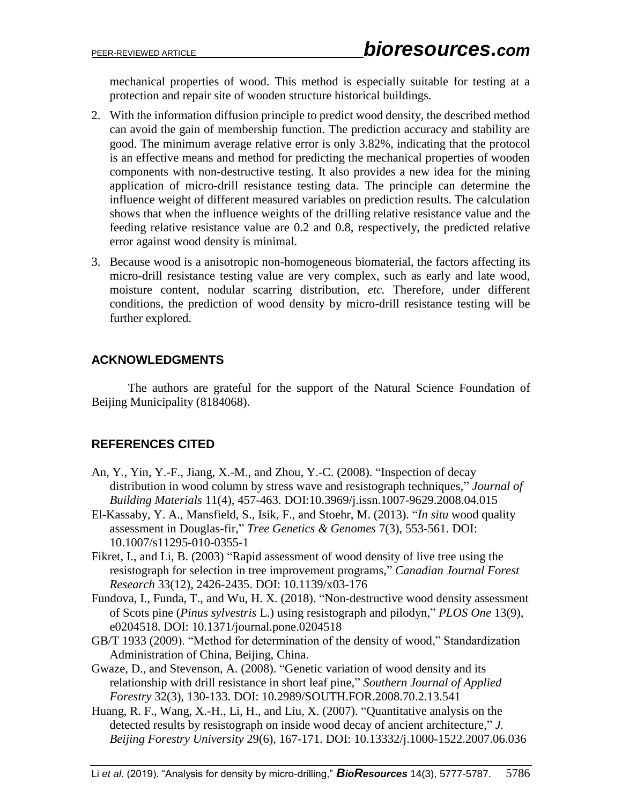mechanical properties of wood. This method is especially suitable for testing at a protection and repair site of wooden structure historical buildings.

- 2. With the information diffusion principle to predict wood density, the described method can avoid the gain of membership function. The prediction accuracy and stability are good. The minimum average relative error is only 3.82%, indicating that the protocol is an effective means and method for predicting the mechanical properties of wooden components with non-destructive testing. It also provides a new idea for the mining application of micro-drill resistance testing data. The principle can determine the influence weight of different measured variables on prediction results. The calculation shows that when the influence weights of the drilling relative resistance value and the feeding relative resistance value are 0.2 and 0.8, respectively, the predicted relative error against wood density is minimal.
- 3. Because wood is a anisotropic non-homogeneous biomaterial, the factors affecting its micro-drill resistance testing value are very complex, such as early and late wood, moisture content, nodular scarring distribution, *etc.* Therefore, under different conditions, the prediction of wood density by micro-drill resistance testing will be further explored.

### **ACKNOWLEDGMENTS**

The authors are grateful for the support of the Natural Science Foundation of Beijing Municipality (8184068).

# **REFERENCES CITED**

- An, Y., Yin, Y.-F., Jiang, X.-M., and Zhou, Y.-C. (2008). "Inspection of decay distribution in wood column by stress wave and resistograph techniques," *Journal of Building Materials* 11(4), 457-463. DOI:10.3969/j.issn.1007-9629.2008.04.015
- [El-Kassaby, Y. A.](http://apps.webofknowledge.com/DaisyOneClickSearch.do?product=WOS&search_mode=DaisyOneClickSearch&colName=WOS&SID=8CJZYFsUq6HS116kIM5&author_name=El-Kassaby,%20YA&dais_id=107202&excludeEventConfig=ExcludeIfFromFullRecPage), [Mansfield, S.](http://apps.webofknowledge.com/DaisyOneClickSearch.do?product=WOS&search_mode=DaisyOneClickSearch&colName=WOS&SID=8CJZYFsUq6HS116kIM5&author_name=Mansfield,%20S&dais_id=64009&excludeEventConfig=ExcludeIfFromFullRecPage), [Isik, F.](http://apps.webofknowledge.com/DaisyOneClickSearch.do?product=WOS&search_mode=DaisyOneClickSearch&colName=WOS&SID=8CJZYFsUq6HS116kIM5&author_name=Isik,%20F&dais_id=569947&excludeEventConfig=ExcludeIfFromFullRecPage), and [Stoehr, M.](http://apps.webofknowledge.com/DaisyOneClickSearch.do?product=WOS&search_mode=DaisyOneClickSearch&colName=WOS&SID=8CJZYFsUq6HS116kIM5&author_name=Stoehr,%20M&dais_id=756447&excludeEventConfig=ExcludeIfFromFullRecPage) (2013). "*In situ* wood quality assessment in Douglas-fir," *Tree Genetics & Genomes* 7(3), 553-561. DOI: 10.1007/s11295-010-0355-1
- Fikret, I., and Li, B. (2003) "Rapid assessment of wood density of live tree using the resistograph for selection in tree improvement programs," *Canadian Journal Forest Research* 33(12), 2426-2435. DOI: 10.1139/x03-176
- [Fundova, I.](http://apps.webofknowledge.com/DaisyOneClickSearch.do?product=WOS&search_mode=DaisyOneClickSearch&colName=WOS&SID=8CJZYFsUq6HS116kIM5&author_name=Fundova,%20I&dais_id=16549385&excludeEventConfig=ExcludeIfFromFullRecPage), [Funda, T.](http://apps.webofknowledge.com/DaisyOneClickSearch.do?product=WOS&search_mode=DaisyOneClickSearch&colName=WOS&SID=8CJZYFsUq6HS116kIM5&author_name=Funda,%20T&dais_id=3694970&excludeEventConfig=ExcludeIfFromFullRecPage), and [Wu, H. X.](http://apps.webofknowledge.com/DaisyOneClickSearch.do?product=WOS&search_mode=DaisyOneClickSearch&colName=WOS&SID=8CJZYFsUq6HS116kIM5&author_name=Wu,%20HX&dais_id=789171&excludeEventConfig=ExcludeIfFromFullRecPage) (2018). "Non-destructive wood density assessment of Scots pine (*Pinus sylvestris* L.) using resistograph and pilodyn," *PLOS One* 13(9), e0204518. DOI: 10.1371/journal.pone.0204518
- GB/T 1933 (2009). "Method for determination of the density of wood," Standardization Administration of China, Beijing, China.
- Gwaze, D., and Stevenson, A. (2008). "Genetic variation of wood density and its relationship with drill resistance in short leaf pine," *Southern Journal of Applied Forestry* 32(3), 130-133. DOI: 10.2989/SOUTH.FOR.2008.70.2.13.541
- Huang, R. F., Wang, X.-H., Li, H., and Liu, X. (2007). "Quantitative analysis on the detected results by resistograph on inside wood decay of ancient architecture," *J. Beijing Forestry University* 29(6), 167-171. DOI: 10.13332/j.1000-1522.2007.06.036